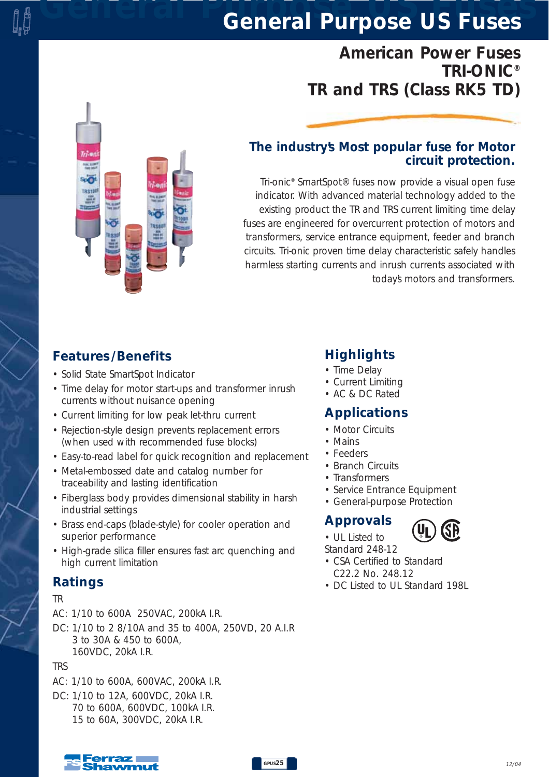*American Power Fuses TRI-ONIC® TR and TRS (Class RK5 TD)*



### *The industry's Most popular fuse for Motor circuit protection.*

*Tri-onic® SmartSpot® fuses now provide a visual open fuse indicator. With advanced material technology added to the existing product the TR and TRS current limiting time delay fuses are engineered for overcurrent protection of motors and transformers, service entrance equipment, feeder and branch circuits. Tri-onic proven time delay characteristic safely handles harmless starting currents and inrush currents associated with today's motors and transformers.* 

## *Features /Benefits*

- *Solid State SmartSpot Indicator*
- *Time delay for motor start-ups and transformer inrush currents without nuisance opening*
- *Current limiting for low peak let-thru current*
- *Rejection-style design prevents replacement errors (when used with recommended fuse blocks)*
- *Easy-to-read label for quick recognition and replacement*
- *Metal-embossed date and catalog number for traceability and lasting identification*
- *Fiberglass body provides dimensional stability in harsh industrial settings*
- *Brass end-caps (blade-style) for cooler operation and superior performance*
- *High-grade silica filler ensures fast arc quenching and high current limitation*

### *Ratings*

#### *TR*

- *AC: 1/10 to 600A 250VAC, 200kA I.R.*
- *DC: 1/10 to 2 8/10A and 35 to 400A, 250VD, 20 A.I.R 3 to 30A & 450 to 600A, 160VDC, 20kA I.R.*

#### *TRS*

- *AC: 1/10 to 600A, 600VAC, 200kA I.R.*
- *DC: 1/10 to 12A, 600VDC, 20kA I.R. 70 to 600A, 600VDC, 100kA I.R. 15 to 60A, 300VDC, 20kA I.R.*

### *Highlights*

- *Time Delay*
- *Current Limiting*
- *AC & DC Rated*

### *Applications*

- *Motor Circuits*
- *Mains*
- *Feeders*
- *Branch Circuits*
- *Transformers*
- *Service Entrance Equipment*
- *General-purpose Protection*

### *Approvals*

*• UL Listed to*

*Standard 248-12* 

- *CSA Certified to Standard C22.2 No. 248.12*
- *DC Listed to UL Standard 198L*

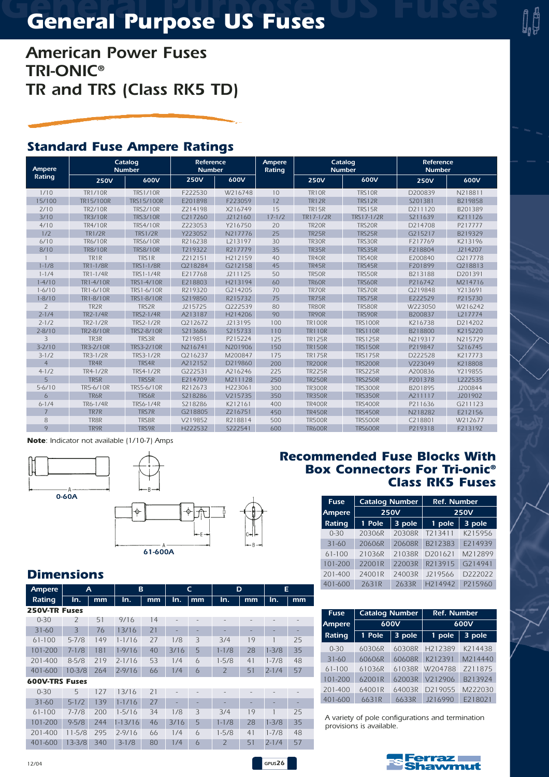*American Power Fuses TRI-ONIC® TR and TRS (Class RK5 TD)*

### *Standard Fuse Ampere Ratings*

| Ampere         | Catalog<br><b>Number</b> |                   | Reference<br><b>Number</b> |         | Ampere<br>Rating | Catalog<br><b>Number</b> |                | <b>Reference</b><br><b>Number</b> |         |
|----------------|--------------------------|-------------------|----------------------------|---------|------------------|--------------------------|----------------|-----------------------------------|---------|
| Rating         | <b>250V</b>              | 600V              | <b>250V</b>                | 600V    |                  | <b>250V</b>              | 600V           | <b>250V</b>                       | 600V    |
| 1/10           | <b>TR1/10R</b>           | <b>TRS1/10R</b>   | F222530                    | W216748 | 10               | <b>TR10R</b>             | TRS10R         | D200839                           | N218811 |
| 15/100         | TR15/100R                | <b>TRS15/100R</b> | E201898                    | F223059 | 12               | <b>TR12R</b>             | TRS12R         | S201381                           | B219858 |
| 2/10           | <b>TR2/10R</b>           | <b>TRS2/10R</b>   | Z214198                    | X216749 | 15               | <b>TR15R</b>             | <b>TRS15R</b>  | D211120                           | B201389 |
| 3/10           | <b>TR3/10R</b>           | <b>TRS3/10R</b>   | C217260                    | J212160 | $17 - 1/2$       | TR17-1/2R                | TRS17-1/2R     | S211639                           | K211126 |
| 4/10           | <b>TR4/10R</b>           | <b>TRS4/10R</b>   | Z223053                    | Y216750 | 20               | TR <sub>20R</sub>        | TRS20R         | D214708                           | P217777 |
| 1/2            | <b>TR1/2R</b>            | <b>TRS1/2R</b>    | Y223052                    | N217776 | 25               | <b>TR25R</b>             | TRS25R         | G215217                           | B219329 |
| 6/10           | <b>TR6/10R</b>           | <b>TRS6/10R</b>   | R216238                    | L213197 | 30               | TR30R                    | TRS30R         | F217769                           | K213196 |
| 8/10           | <b>TR8/10R</b>           | <b>TRS8/10R</b>   | T219322                    | R217779 | 35               | <b>TR35R</b>             | TRS35R         | F218804                           | J214207 |
|                | TR1R                     | TRS1R             | Z212151                    | H212159 | 40               | TR40R                    | TRS40R         | E200840                           | Q217778 |
| $1 - 1/8$      | <b>TR1-1/8R</b>          | <b>TRS1-1/8R</b>  | Q218284                    | G212158 | 45               | <b>TR45R</b>             | TRS45R         | F201899                           | Q218813 |
| $1 - 1/4$      | TR1-1/4R                 | <b>TRS1-1/4R</b>  | E217768                    | J211125 | 50               | <b>TR50R</b>             | TRS50R         | B213188                           | D201391 |
| $1 - 4/10$     | TR1-4/10R                | TRS1-4/10R        | E218803                    | H213194 | 60               | <b>TR60R</b>             | TRS60R         | P216742                           | M214716 |
| $1 - 6/10$     | TR1-6/10R                | TRS1-6/10R        | R219320                    | G214205 | 70               | TR70R                    | TRS70R         | Q219848                           | Y213691 |
| $1 - 8/10$     | TR1-8/10R                | TRS1-8/10R        | S219850                    | R215732 | 75               | <b>TR75R</b>             | TRS75R         | E222529                           | P215730 |
| $\overline{2}$ | TR <sub>2</sub> R        | TRS2R             | J215725                    | Q222539 | 80               | TR80R                    | TRS80R         | W223050                           | W216242 |
| $2 - 1/4$      | <b>TR2-1/4R</b>          | <b>TRS2-1/4R</b>  | A213187                    | H214206 | 90               | TR90R                    | TRS90R         | B200837                           | L217774 |
| $7 - 1/7$      | TR2-1/2R                 | <b>TRS2-1/2R</b>  | O <sub>2</sub> 12672       | J213195 | 100              | <b>TR100R</b>            | <b>TRS100R</b> | K216738                           | D214202 |
| $2 - 8/10$     | TR2-8/10R                | <b>TRS2-8/10R</b> | S213686                    | S215733 | 110              | <b>TR110R</b>            | <b>TRS110R</b> | B218800                           | K215220 |
| 3              | TR3R                     | TRS3R             | T219851                    | P215224 | 125              | <b>TR125R</b>            | <b>TRS125R</b> | N219317                           | N215729 |
| $3 - 2/10$     | TR3-2/10R                | <b>TRS3-2/10R</b> | N216741                    | N201906 | 150              | <b>TR150R</b>            | <b>TRS150R</b> | P219847                           | S216745 |
| $3-1/2$        | TR3-1/2R                 | <b>TRS3-1/2R</b>  | Q216237                    | M200847 | 175              | <b>TR175R</b>            | <b>TRS175R</b> | D222528                           | K217773 |
| $\overline{4}$ | TR <sub>4</sub> R        | TRS4R             | A212152                    | D219860 | 200              | <b>TR200R</b>            | <b>TRS200R</b> | V223049                           | K218808 |
| $4-1/2$        | TR4-1/2R                 | <b>TRS4-1/2R</b>  | G222531                    | A216246 | 225              | <b>TR225R</b>            | <b>TRS225R</b> | A200836                           | Y219855 |
| 5              | TR5R                     | TRS5R             | E214709                    | M211128 | 250              | <b>TR250R</b>            | <b>TRS250R</b> | P201378                           | L222535 |
| $5 - 6/10$     | TR5-6/10R                | <b>TRS5-6/10R</b> | R212673                    | H223061 | 300              | <b>TR300R</b>            | <b>TRS300R</b> | B201895                           | J200844 |
| $\ddot{\circ}$ | TR6R                     | <b>TRS6R</b>      | S218286                    | V215735 | 350              | <b>TR350R</b>            | <b>TRS350R</b> | A211117                           | J201902 |
| $6 - 1/4$      | <b>TR6-1/4R</b>          | <b>TRS6-1/4R</b>  | S218286                    | K212161 | 400              | <b>TR400R</b>            | <b>TRS400R</b> | P211636                           | G211123 |
| $\overline{7}$ | TR7R                     | <b>TRS7R</b>      | G218805                    | Z216751 | 450              | <b>TR450R</b>            | <b>TRS450R</b> | N218282                           | E212156 |
| 8              | TR8R                     | <b>TRS8R</b>      | V219852                    | R218814 | 500              | <b>TR500R</b>            | <b>TRS500R</b> | C218801                           | W212677 |
| 9              | TR9R                     | TRS9R             | H222532                    | S222541 | 600              | <b>TR600R</b>            | <b>TRS600R</b> | P219318                           | F213192 |

*GPUS26*

*Note: Indicator not available (1/10-7) Amps*



*61-600A*

### *Dimensions*

| <b>Ampere</b><br>A    |                          | в   |             | $\mathsf{C}$ |      | D              |                | Е  |           |    |
|-----------------------|--------------------------|-----|-------------|--------------|------|----------------|----------------|----|-----------|----|
| Rating                | In.                      | mm  | In.         | mm           | In.  | mm             | In.            | mm | In.       | mm |
| <b>250V-TR Fuses</b>  |                          |     |             |              |      |                |                |    |           |    |
| $0 - 30$              | $\overline{\phantom{0}}$ | 51  | 9/16        | 14           |      |                |                |    |           |    |
| $31 - 60$             | 3                        | 76  | 13/16       | 71           |      |                |                |    |           |    |
| $61 - 100$            | $5 - 7/8$                | 149 | $1 - 1/16$  | 27           | 1/8  | 3              | 3/4            | 19 |           | 25 |
| 101-200               | $7 - 1/8$                | 181 | $1 - 9/16$  | 40           | 3/16 | 5              | $1 - 1/8$      | 28 | $1 - 3/8$ | 35 |
| $201 - 400$           | $8 - 5/8$                | 219 | $2 - 1/16$  | 53           | 1/4  | $\overline{6}$ | $1 - 5/8$      | 41 | $1 - 7/8$ | 48 |
| 401-600               | $10 - 3/8$               | 264 | $2 - 9/16$  | 66           | 1/4  | 6              | $\overline{2}$ | 51 | $2 - 1/4$ | 57 |
| <b>600V-TRS Fuses</b> |                          |     |             |              |      |                |                |    |           |    |
| $0 - 30$              | 5                        | 127 | 13/16       | 71           |      |                |                |    |           |    |
| $31 - 60$             | $5 - 1/2$                | 139 | $1 - 1/16$  | 27           |      |                |                |    |           |    |
| $61 - 100$            | $7 - 7/8$                | 200 | $1 - 5/16$  | 34           | 1/8  | 3              | 3/4            | 19 |           | 25 |
| 101-200               | $9 - 5/8$                | 244 | $1 - 13/16$ | 46           | 3/16 | 5              | $1 - 1/8$      | 28 | $1 - 3/8$ | 35 |
| 201-400               | $11 - 5/8$               | 295 | $2 - 9/16$  | 66           | 1/4  | $\overline{6}$ | $1 - 5/8$      | 41 | $1 - 7/8$ | 48 |
| 401-600               | $13 - 3/8$               | 340 | $3-1/8$     | 80           | 1/4  | 6              | 7              | 51 | $7 - 1/4$ | 57 |

#### *Recommended Fuse Blocks With Box Connectors For Tri-onic® Class RK5 Fuses*

| <b>Fuse</b>      | <b>Catalog Number</b> |             | <b>Ref. Number</b>   |                      |  |  |
|------------------|-----------------------|-------------|----------------------|----------------------|--|--|
| Ampere           |                       | <b>250V</b> | <b>250V</b>          |                      |  |  |
| Rating           | 1 Pole                | 3 pole      | 1 pole               | 3 pole               |  |  |
| $0 - 30$         | 20306R                | 20308R      | T213411              | K215956              |  |  |
| $31 - 60$        | 20606R                | 20608R      | B212383              | F214939              |  |  |
| $61 - 100$       | 21036R                | 21038R      | D201621              | M212899              |  |  |
| 101-200          | 22001R                | 22003R      | R213915              | G <sub>2</sub> 14941 |  |  |
| $201 - 400$      | 24001R                | 24003R      | J219566              | D222022              |  |  |
| 2631R<br>401-600 |                       | 2633R       | H <sub>2</sub> 14942 | P215960              |  |  |

| <b>Fuse</b>   | <b>Catalog Number</b> |        | <b>Ref. Number</b>   |                      |  |  |
|---------------|-----------------------|--------|----------------------|----------------------|--|--|
| <b>Ampere</b> |                       | 600V   | 600V                 |                      |  |  |
| Rating        | 1 Pole                | 3 pole | 1 pole               | 3 pole               |  |  |
| $0 - 30$      | 60306R                | 60308R | H <sub>2</sub> 12389 | K214438              |  |  |
| $31 - 60$     | 60606R                | 60608R | K212391              | M <sub>2</sub> 14440 |  |  |
| $61 - 100$    | 61036R                | 61038R | W204788              | Z211875              |  |  |
| 101-200       | 62001R                | 62003R | V212906              | B213924              |  |  |
| 201-400       | 64001R                | 64003R | D219055              | M222030              |  |  |
| 401-600       | 6631R                 | 6633R  | J216990              | E218021              |  |  |

*A variety of pole configurations and termination provisions is available.* 



*12/04*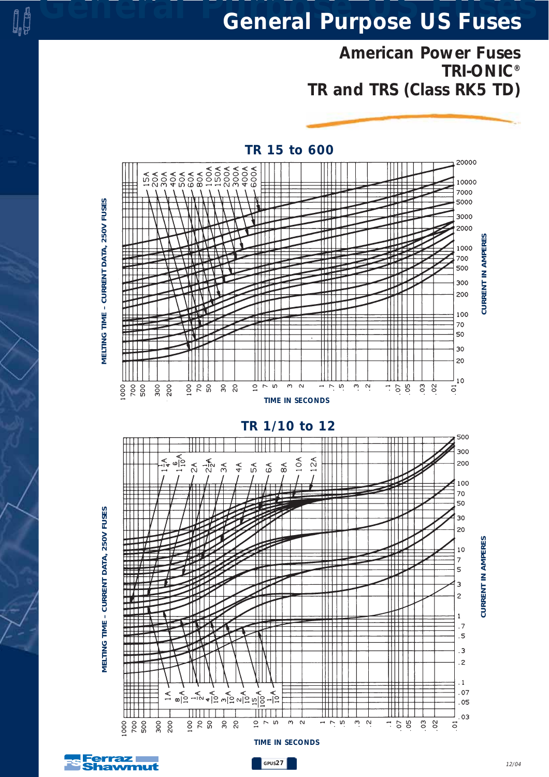*American Power Fuses TRI-ONIC® TR and TRS (Class RK5 TD)*



*12/04*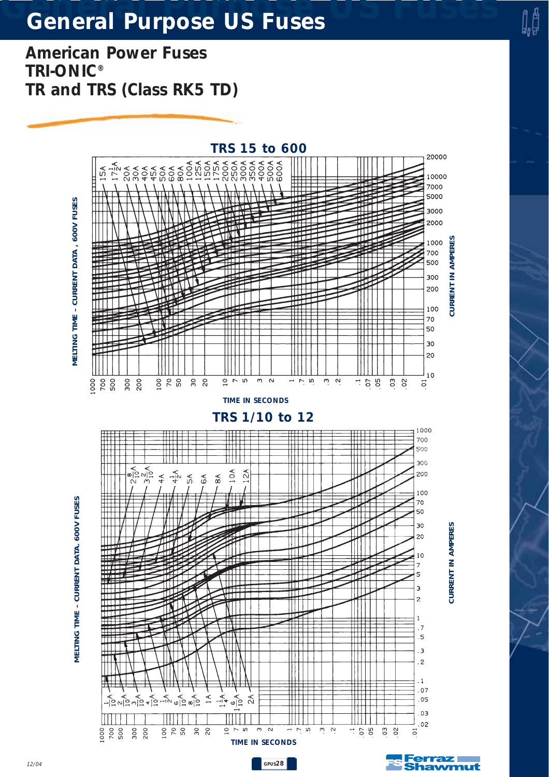*American Power Fuses TRI-ONIC® TR and TRS (Class RK5 TD)*



d<br>H